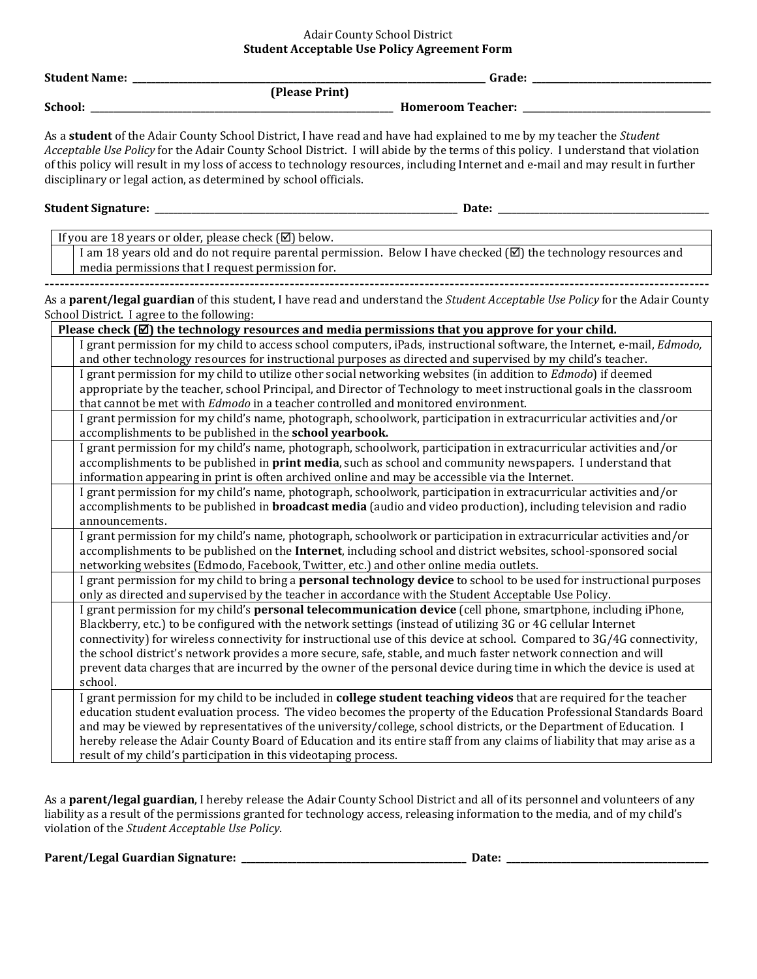## Adair County School District **Student Acceptable Use Policy Agreement Form**

|           | <b>Student Name: _</b><br>Grade: _                                                                                                                                                                                                                                                                                                                                                                                                                                                                                                                                                                                |
|-----------|-------------------------------------------------------------------------------------------------------------------------------------------------------------------------------------------------------------------------------------------------------------------------------------------------------------------------------------------------------------------------------------------------------------------------------------------------------------------------------------------------------------------------------------------------------------------------------------------------------------------|
|           | (Please Print)                                                                                                                                                                                                                                                                                                                                                                                                                                                                                                                                                                                                    |
| School: _ | Homeroom Teacher: _                                                                                                                                                                                                                                                                                                                                                                                                                                                                                                                                                                                               |
|           | As a student of the Adair County School District, I have read and have had explained to me by my teacher the Student<br>Acceptable Use Policy for the Adair County School District. I will abide by the terms of this policy. I understand that violation<br>of this policy will result in my loss of access to technology resources, including Internet and e-mail and may result in further<br>disciplinary or legal action, as determined by school officials.                                                                                                                                                 |
|           | Student Signature: __________<br>Date:                                                                                                                                                                                                                                                                                                                                                                                                                                                                                                                                                                            |
|           |                                                                                                                                                                                                                                                                                                                                                                                                                                                                                                                                                                                                                   |
|           | If you are 18 years or older, please check (⊠) below.                                                                                                                                                                                                                                                                                                                                                                                                                                                                                                                                                             |
|           | I am 18 years old and do not require parental permission. Below I have checked $(\boxtimes)$ the technology resources and<br>media permissions that I request permission for.                                                                                                                                                                                                                                                                                                                                                                                                                                     |
|           | As a parent/legal guardian of this student, I have read and understand the Student Acceptable Use Policy for the Adair County<br>School District. I agree to the following:                                                                                                                                                                                                                                                                                                                                                                                                                                       |
|           | Please check $[\mathbb{Z}]$ the technology resources and media permissions that you approve for your child.                                                                                                                                                                                                                                                                                                                                                                                                                                                                                                       |
|           | I grant permission for my child to access school computers, iPads, instructional software, the Internet, e-mail, Edmodo,<br>and other technology resources for instructional purposes as directed and supervised by my child's teacher.                                                                                                                                                                                                                                                                                                                                                                           |
|           | I grant permission for my child to utilize other social networking websites (in addition to Edmodo) if deemed<br>appropriate by the teacher, school Principal, and Director of Technology to meet instructional goals in the classroom                                                                                                                                                                                                                                                                                                                                                                            |
|           | that cannot be met with Edmodo in a teacher controlled and monitored environment.                                                                                                                                                                                                                                                                                                                                                                                                                                                                                                                                 |
|           | I grant permission for my child's name, photograph, schoolwork, participation in extracurricular activities and/or<br>accomplishments to be published in the school yearbook.                                                                                                                                                                                                                                                                                                                                                                                                                                     |
|           | I grant permission for my child's name, photograph, schoolwork, participation in extracurricular activities and/or<br>accomplishments to be published in <b>print media</b> , such as school and community newspapers. I understand that<br>information appearing in print is often archived online and may be accessible via the Internet.                                                                                                                                                                                                                                                                       |
|           | I grant permission for my child's name, photograph, schoolwork, participation in extracurricular activities and/or<br>accomplishments to be published in <b>broadcast media</b> (audio and video production), including television and radio<br>announcements.                                                                                                                                                                                                                                                                                                                                                    |
|           | I grant permission for my child's name, photograph, schoolwork or participation in extracurricular activities and/or<br>accomplishments to be published on the Internet, including school and district websites, school-sponsored social<br>networking websites (Edmodo, Facebook, Twitter, etc.) and other online media outlets.                                                                                                                                                                                                                                                                                 |
|           | I grant permission for my child to bring a personal technology device to school to be used for instructional purposes<br>only as directed and supervised by the teacher in accordance with the Student Acceptable Use Policy.                                                                                                                                                                                                                                                                                                                                                                                     |
|           | I grant permission for my child's personal telecommunication device (cell phone, smartphone, including iPhone,<br>Blackberry, etc.) to be configured with the network settings (instead of utilizing 3G or 4G cellular Internet<br>connectivity) for wireless connectivity for instructional use of this device at school. Compared to 3G/4G connectivity,<br>the school district's network provides a more secure, safe, stable, and much faster network connection and will<br>prevent data charges that are incurred by the owner of the personal device during time in which the device is used at<br>school. |
|           | I grant permission for my child to be included in college student teaching videos that are required for the teacher<br>education student evaluation process. The video becomes the property of the Education Professional Standards Board<br>and may be viewed by representatives of the university/college, school districts, or the Department of Education. I<br>hereby release the Adair County Board of Education and its entire staff from any claims of liability that may arise as a<br>result of my child's participation in this videotaping process.                                                   |

As a **parent/legal guardian**, I hereby release the Adair County School District and all of its personnel and volunteers of any liability as a result of the permissions granted for technology access, releasing information to the media, and of my child's violation of the *Student Acceptable Use Policy*.

**Parent/Legal Guardian Signature: \_\_\_\_\_\_\_\_\_\_\_\_\_\_\_\_\_\_\_\_\_\_\_\_\_\_\_\_\_\_\_\_\_\_\_\_\_\_\_\_\_\_\_\_\_\_\_\_\_ Date: \_\_\_\_\_\_\_\_\_\_\_\_\_\_\_\_\_\_\_\_\_\_\_\_\_\_\_\_\_\_\_\_\_\_\_\_\_\_\_\_\_\_\_\_**